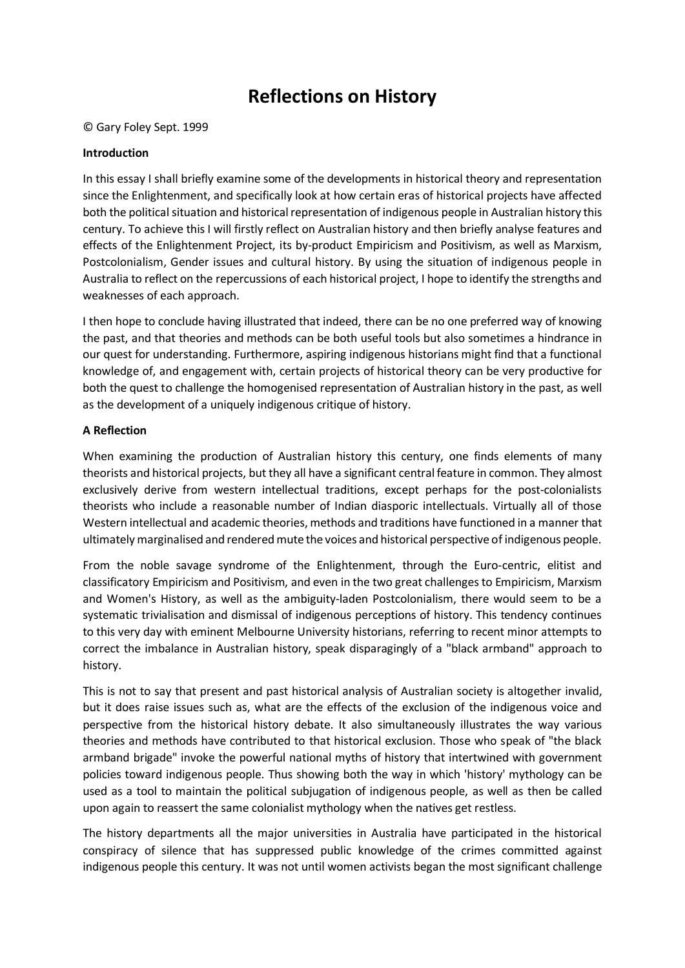# **Reflections on History**

© Gary Foley Sept. 1999

#### **Introduction**

In this essay I shall briefly examine some of the developments in historical theory and representation since the Enlightenment, and specifically look at how certain eras of historical projects have affected both the political situation and historical representation of indigenous people in Australian history this century. To achieve this I will firstly reflect on Australian history and then briefly analyse features and effects of the Enlightenment Project, its by-product Empiricism and Positivism, as well as Marxism, Postcolonialism, Gender issues and cultural history. By using the situation of indigenous people in Australia to reflect on the repercussions of each historical project, I hope to identify the strengths and weaknesses of each approach.

I then hope to conclude having illustrated that indeed, there can be no one preferred way of knowing the past, and that theories and methods can be both useful tools but also sometimes a hindrance in our quest for understanding. Furthermore, aspiring indigenous historians might find that a functional knowledge of, and engagement with, certain projects of historical theory can be very productive for both the quest to challenge the homogenised representation of Australian history in the past, as well as the development of a uniquely indigenous critique of history.

#### **A Reflection**

When examining the production of Australian history this century, one finds elements of many theorists and historical projects, but they all have a significant central feature in common. They almost exclusively derive from western intellectual traditions, except perhaps for the post-colonialists theorists who include a reasonable number of Indian diasporic intellectuals. Virtually all of those Western intellectual and academic theories, methods and traditions have functioned in a manner that ultimately marginalised and rendered mute the voices and historical perspective of indigenous people.

From the noble savage syndrome of the Enlightenment, through the Euro-centric, elitist and classificatory Empiricism and Positivism, and even in the two great challenges to Empiricism, Marxism and Women's History, as well as the ambiguity-laden Postcolonialism, there would seem to be a systematic trivialisation and dismissal of indigenous perceptions of history. This tendency continues to this very day with eminent Melbourne University historians, referring to recent minor attempts to correct the imbalance in Australian history, speak disparagingly of a "black armband" approach to history.

This is not to say that present and past historical analysis of Australian society is altogether invalid, but it does raise issues such as, what are the effects of the exclusion of the indigenous voice and perspective from the historical history debate. It also simultaneously illustrates the way various theories and methods have contributed to that historical exclusion. Those who speak of "the black armband brigade" invoke the powerful national myths of history that intertwined with government policies toward indigenous people. Thus showing both the way in which 'history' mythology can be used as a tool to maintain the political subjugation of indigenous people, as well as then be called upon again to reassert the same colonialist mythology when the natives get restless.

The history departments all the major universities in Australia have participated in the historical conspiracy of silence that has suppressed public knowledge of the crimes committed against indigenous people this century. It was not until women activists began the most significant challenge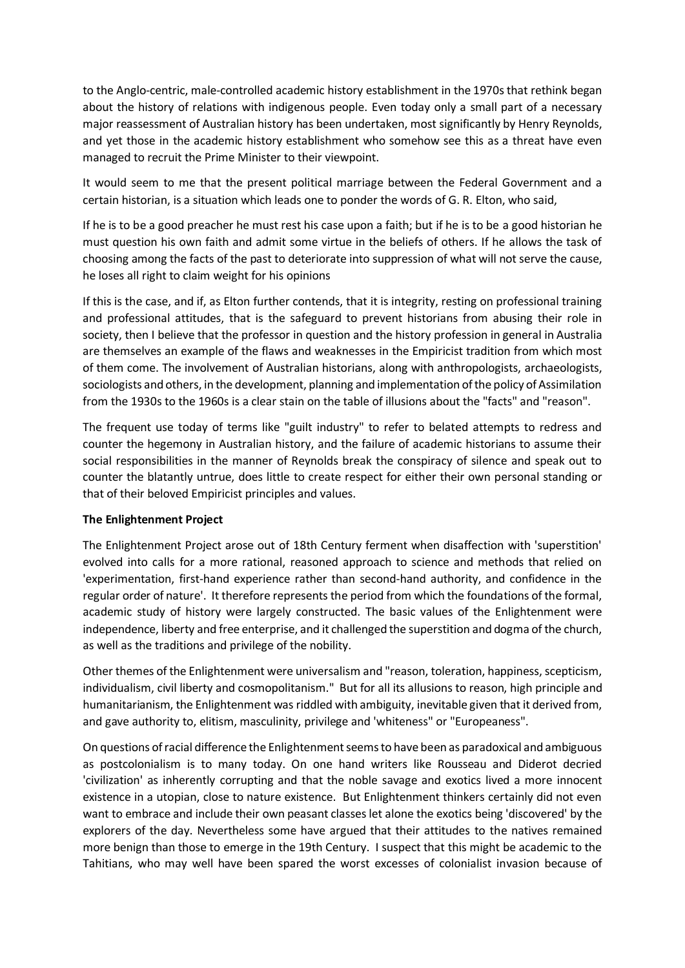to the Anglo-centric, male-controlled academic history establishment in the 1970s that rethink began about the history of relations with indigenous people. Even today only a small part of a necessary major reassessment of Australian history has been undertaken, most significantly by Henry Reynolds, and yet those in the academic history establishment who somehow see this as a threat have even managed to recruit the Prime Minister to their viewpoint.

It would seem to me that the present political marriage between the Federal Government and a certain historian, is a situation which leads one to ponder the words of G. R. Elton, who said,

If he is to be a good preacher he must rest his case upon a faith; but if he is to be a good historian he must question his own faith and admit some virtue in the beliefs of others. If he allows the task of choosing among the facts of the past to deteriorate into suppression of what will not serve the cause, he loses all right to claim weight for his opinions

If this is the case, and if, as Elton further contends, that it is integrity, resting on professional training and professional attitudes, that is the safeguard to prevent historians from abusing their role in society, then I believe that the professor in question and the history profession in general in Australia are themselves an example of the flaws and weaknesses in the Empiricist tradition from which most of them come. The involvement of Australian historians, along with anthropologists, archaeologists, sociologists and others, in the development, planning and implementation of the policy of Assimilation from the 1930s to the 1960s is a clear stain on the table of illusions about the "facts" and "reason".

The frequent use today of terms like "guilt industry" to refer to belated attempts to redress and counter the hegemony in Australian history, and the failure of academic historians to assume their social responsibilities in the manner of Reynolds break the conspiracy of silence and speak out to counter the blatantly untrue, does little to create respect for either their own personal standing or that of their beloved Empiricist principles and values.

## **The Enlightenment Project**

The Enlightenment Project arose out of 18th Century ferment when disaffection with 'superstition' evolved into calls for a more rational, reasoned approach to science and methods that relied on 'experimentation, first-hand experience rather than second-hand authority, and confidence in the regular order of nature'. It therefore represents the period from which the foundations of the formal, academic study of history were largely constructed. The basic values of the Enlightenment were independence, liberty and free enterprise, and it challenged the superstition and dogma of the church, as well as the traditions and privilege of the nobility.

Other themes of the Enlightenment were universalism and "reason, toleration, happiness, scepticism, individualism, civil liberty and cosmopolitanism." But for all its allusions to reason, high principle and humanitarianism, the Enlightenment was riddled with ambiguity, inevitable given that it derived from, and gave authority to, elitism, masculinity, privilege and 'whiteness" or "Europeaness".

On questions of racial difference the Enlightenment seems to have been as paradoxical and ambiguous as postcolonialism is to many today. On one hand writers like Rousseau and Diderot decried 'civilization' as inherently corrupting and that the noble savage and exotics lived a more innocent existence in a utopian, close to nature existence. But Enlightenment thinkers certainly did not even want to embrace and include their own peasant classes let alone the exotics being 'discovered' by the explorers of the day. Nevertheless some have argued that their attitudes to the natives remained more benign than those to emerge in the 19th Century. I suspect that this might be academic to the Tahitians, who may well have been spared the worst excesses of colonialist invasion because of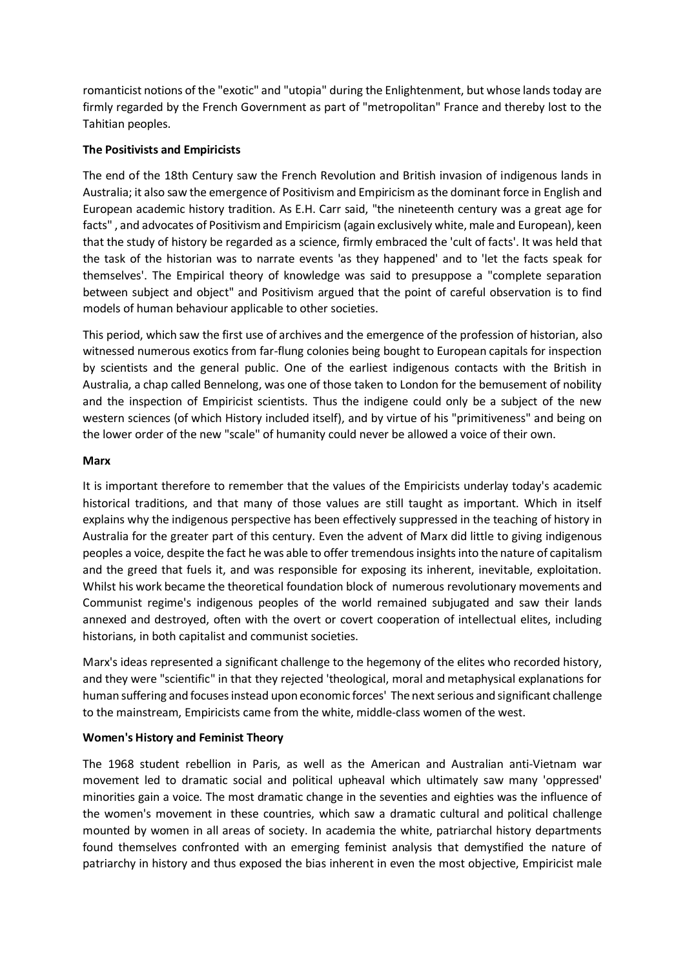romanticist notions of the "exotic" and "utopia" during the Enlightenment, but whose lands today are firmly regarded by the French Government as part of "metropolitan" France and thereby lost to the Tahitian peoples.

## **The Positivists and Empiricists**

The end of the 18th Century saw the French Revolution and British invasion of indigenous lands in Australia; it also saw the emergence of Positivism and Empiricism as the dominant force in English and European academic history tradition. As E.H. Carr said, "the nineteenth century was a great age for facts" , and advocates of Positivism and Empiricism (again exclusively white, male and European), keen that the study of history be regarded as a science, firmly embraced the 'cult of facts'. It was held that the task of the historian was to narrate events 'as they happened' and to 'let the facts speak for themselves'. The Empirical theory of knowledge was said to presuppose a "complete separation between subject and object" and Positivism argued that the point of careful observation is to find models of human behaviour applicable to other societies.

This period, which saw the first use of archives and the emergence of the profession of historian, also witnessed numerous exotics from far-flung colonies being bought to European capitals for inspection by scientists and the general public. One of the earliest indigenous contacts with the British in Australia, a chap called Bennelong, was one of those taken to London for the bemusement of nobility and the inspection of Empiricist scientists. Thus the indigene could only be a subject of the new western sciences (of which History included itself), and by virtue of his "primitiveness" and being on the lower order of the new "scale" of humanity could never be allowed a voice of their own.

#### **Marx**

It is important therefore to remember that the values of the Empiricists underlay today's academic historical traditions, and that many of those values are still taught as important. Which in itself explains why the indigenous perspective has been effectively suppressed in the teaching of history in Australia for the greater part of this century. Even the advent of Marx did little to giving indigenous peoples a voice, despite the fact he was able to offer tremendous insights into the nature of capitalism and the greed that fuels it, and was responsible for exposing its inherent, inevitable, exploitation. Whilst his work became the theoretical foundation block of numerous revolutionary movements and Communist regime's indigenous peoples of the world remained subjugated and saw their lands annexed and destroyed, often with the overt or covert cooperation of intellectual elites, including historians, in both capitalist and communist societies.

Marx's ideas represented a significant challenge to the hegemony of the elites who recorded history, and they were "scientific" in that they rejected 'theological, moral and metaphysical explanations for human suffering and focuses instead upon economic forces' The next serious and significant challenge to the mainstream, Empiricists came from the white, middle-class women of the west.

## **Women's History and Feminist Theory**

The 1968 student rebellion in Paris, as well as the American and Australian anti-Vietnam war movement led to dramatic social and political upheaval which ultimately saw many 'oppressed' minorities gain a voice. The most dramatic change in the seventies and eighties was the influence of the women's movement in these countries, which saw a dramatic cultural and political challenge mounted by women in all areas of society. In academia the white, patriarchal history departments found themselves confronted with an emerging feminist analysis that demystified the nature of patriarchy in history and thus exposed the bias inherent in even the most objective, Empiricist male